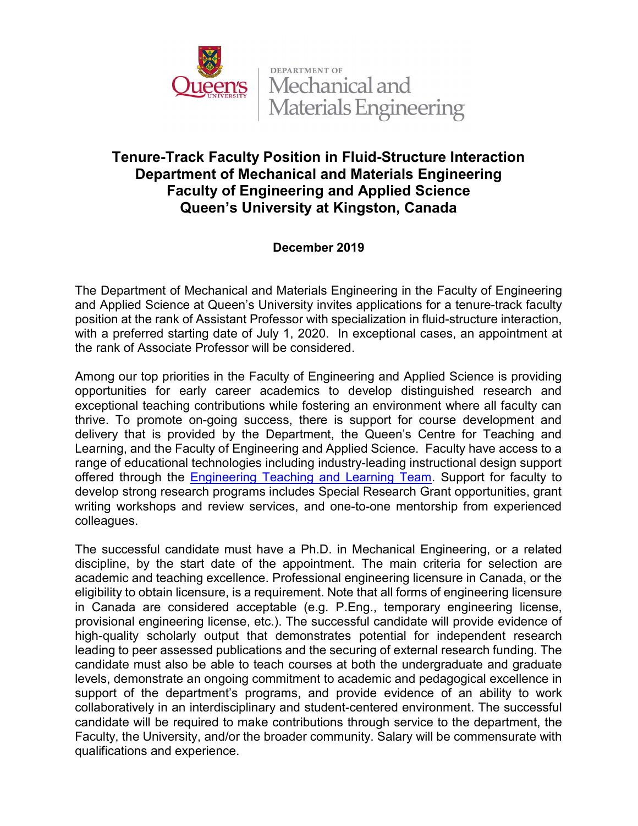

**DEPARTMENT OF** Mechanical and Materials Engineering

## Tenure-Track Faculty Position in Fluid-Structure Interaction Department of Mechanical and Materials Engineering Faculty of Engineering and Applied Science Queen's University at Kingston, Canada

## December 2019

The Department of Mechanical and Materials Engineering in the Faculty of Engineering and Applied Science at Queen's University invites applications for a tenure-track faculty position at the rank of Assistant Professor with specialization in fluid-structure interaction, with a preferred starting date of July 1, 2020. In exceptional cases, an appointment at the rank of Associate Professor will be considered.

Among our top priorities in the Faculty of Engineering and Applied Science is providing opportunities for early career academics to develop distinguished research and exceptional teaching contributions while fostering an environment where all faculty can thrive. To promote on-going success, there is support for course development and delivery that is provided by the Department, the Queen's Centre for Teaching and Learning, and the Faculty of Engineering and Applied Science. Faculty have access to a range of educational technologies including industry-leading instructional design support offered through the Engineering Teaching and Learning Team. Support for faculty to develop strong research programs includes Special Research Grant opportunities, grant writing workshops and review services, and one-to-one mentorship from experienced colleagues.

The successful candidate must have a Ph.D. in Mechanical Engineering, or a related discipline, by the start date of the appointment. The main criteria for selection are academic and teaching excellence. Professional engineering licensure in Canada, or the eligibility to obtain licensure, is a requirement. Note that all forms of engineering licensure in Canada are considered acceptable (e.g. P.Eng., temporary engineering license, provisional engineering license, etc.). The successful candidate will provide evidence of high-quality scholarly output that demonstrates potential for independent research leading to peer assessed publications and the securing of external research funding. The candidate must also be able to teach courses at both the undergraduate and graduate levels, demonstrate an ongoing commitment to academic and pedagogical excellence in support of the department's programs, and provide evidence of an ability to work collaboratively in an interdisciplinary and student-centered environment. The successful candidate will be required to make contributions through service to the department, the Faculty, the University, and/or the broader community. Salary will be commensurate with qualifications and experience.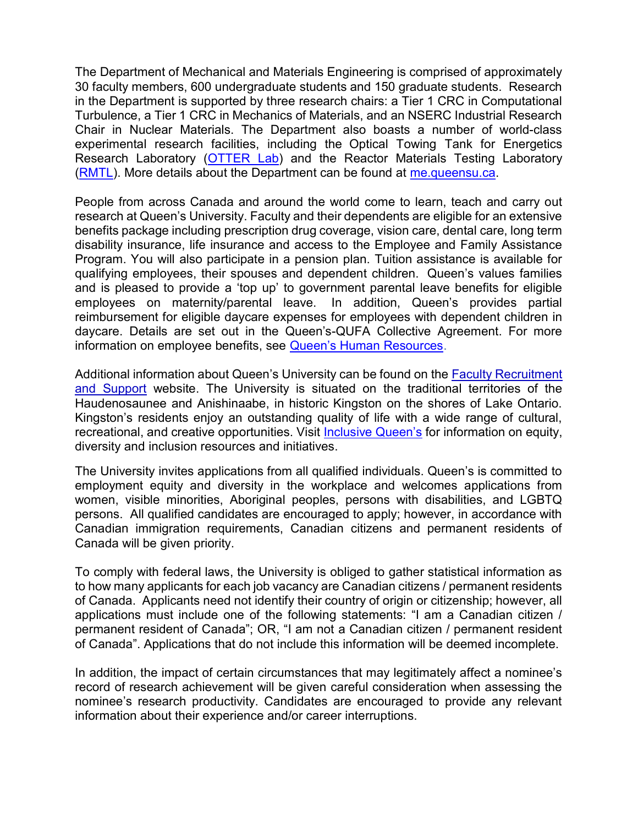The Department of Mechanical and Materials Engineering is comprised of approximately 30 faculty members, 600 undergraduate students and 150 graduate students. Research in the Department is supported by three research chairs: a Tier 1 CRC in Computational Turbulence, a Tier 1 CRC in Mechanics of Materials, and an NSERC Industrial Research Chair in Nuclear Materials. The Department also boasts a number of world-class experimental research facilities, including the Optical Towing Tank for Energetics Research Laboratory (OTTER Lab) and the Reactor Materials Testing Laboratory (RMTL). More details about the Department can be found at me.queensu.ca.

People from across Canada and around the world come to learn, teach and carry out research at Queen's University. Faculty and their dependents are eligible for an extensive benefits package including prescription drug coverage, vision care, dental care, long term disability insurance, life insurance and access to the Employee and Family Assistance Program. You will also participate in a pension plan. Tuition assistance is available for qualifying employees, their spouses and dependent children. Queen's values families and is pleased to provide a 'top up' to government parental leave benefits for eligible employees on maternity/parental leave. In addition, Queen's provides partial reimbursement for eligible daycare expenses for employees with dependent children in daycare. Details are set out in the Queen's-QUFA Collective Agreement. For more information on employee benefits, see Queen's Human Resources.

Additional information about Queen's University can be found on the Faculty Recruitment and Support website. The University is situated on the traditional territories of the Haudenosaunee and Anishinaabe, in historic Kingston on the shores of Lake Ontario. Kingston's residents enjoy an outstanding quality of life with a wide range of cultural, recreational, and creative opportunities. Visit Inclusive Queen's for information on equity, diversity and inclusion resources and initiatives.

The University invites applications from all qualified individuals. Queen's is committed to employment equity and diversity in the workplace and welcomes applications from women, visible minorities, Aboriginal peoples, persons with disabilities, and LGBTQ persons. All qualified candidates are encouraged to apply; however, in accordance with Canadian immigration requirements, Canadian citizens and permanent residents of Canada will be given priority.

To comply with federal laws, the University is obliged to gather statistical information as to how many applicants for each job vacancy are Canadian citizens / permanent residents of Canada. Applicants need not identify their country of origin or citizenship; however, all applications must include one of the following statements: "I am a Canadian citizen / permanent resident of Canada"; OR, "I am not a Canadian citizen / permanent resident of Canada". Applications that do not include this information will be deemed incomplete.

In addition, the impact of certain circumstances that may legitimately affect a nominee's record of research achievement will be given careful consideration when assessing the nominee's research productivity. Candidates are encouraged to provide any relevant information about their experience and/or career interruptions.